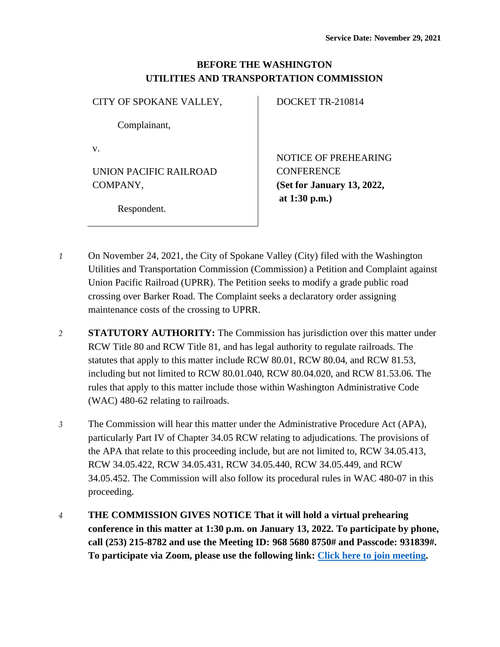## **BEFORE THE WASHINGTON UTILITIES AND TRANSPORTATION COMMISSION**

CITY OF SPOKANE VALLEY,

Complainant,

v.

UNION PACIFIC RAILROAD COMPANY,

Respondent.

DOCKET TR-210814

NOTICE OF PREHEARING **CONFERENCE (Set for January 13, 2022, at 1:30 p.m.)**

- *1* On November 24, 2021, the City of Spokane Valley (City) filed with the Washington Utilities and Transportation Commission (Commission) a Petition and Complaint against Union Pacific Railroad (UPRR). The Petition seeks to modify a grade public road crossing over Barker Road. The Complaint seeks a declaratory order assigning maintenance costs of the crossing to UPRR.
- *2* **STATUTORY AUTHORITY:** The Commission has jurisdiction over this matter under RCW Title 80 and RCW Title 81, and has legal authority to regulate railroads. The statutes that apply to this matter include RCW 80.01, RCW 80.04, and RCW 81.53, including but not limited to RCW 80.01.040, RCW 80.04.020, and RCW 81.53.06. The rules that apply to this matter include those within Washington Administrative Code (WAC) 480-62 relating to railroads.
- *3* The Commission will hear this matter under the Administrative Procedure Act (APA), particularly Part IV of Chapter 34.05 RCW relating to adjudications. The provisions of the APA that relate to this proceeding include, but are not limited to, RCW 34.05.413, RCW 34.05.422, RCW 34.05.431, RCW 34.05.440, RCW 34.05.449, and RCW 34.05.452. The Commission will also follow its procedural rules in WAC 480-07 in this proceeding.
- *4* **THE COMMISSION GIVES NOTICE That it will hold a virtual prehearing conference in this matter at 1:30 p.m. on January 13, 2022. To participate by phone, call (253) 215-8782 and use the Meeting ID: 968 5680 8750# and Passcode: 931839#. To participate via Zoom, please use the following link: [Click here to join meeting.](https://utc-wa-gov.zoom.us/j/96856808750?pwd=MWkzcW41NnRvckhUVzBtVXJ4WERhQT09)**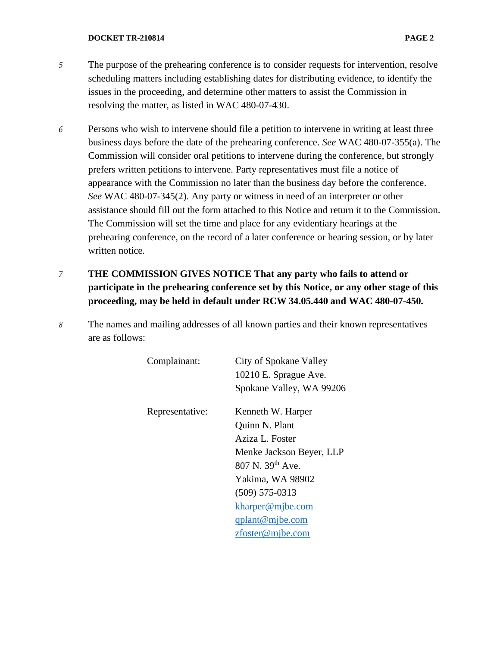## **DOCKET TR-210814 PAGE 2**

- 
- *5* The purpose of the prehearing conference is to consider requests for intervention, resolve scheduling matters including establishing dates for distributing evidence, to identify the issues in the proceeding, and determine other matters to assist the Commission in resolving the matter, as listed in WAC 480-07-430.
- *6* Persons who wish to intervene should file a petition to intervene in writing at least three business days before the date of the prehearing conference. *See* WAC 480-07-355(a). The Commission will consider oral petitions to intervene during the conference, but strongly prefers written petitions to intervene. Party representatives must file a notice of appearance with the Commission no later than the business day before the conference. *See* WAC 480-07-345(2). Any party or witness in need of an interpreter or other assistance should fill out the form attached to this Notice and return it to the Commission. The Commission will set the time and place for any evidentiary hearings at the prehearing conference, on the record of a later conference or hearing session, or by later written notice.
- *7* **THE COMMISSION GIVES NOTICE That any party who fails to attend or participate in the prehearing conference set by this Notice, or any other stage of this proceeding, may be held in default under RCW 34.05.440 and WAC 480-07-450.**
- *8* The names and mailing addresses of all known parties and their known representatives are as follows:

| Complainant:    | City of Spokane Valley       |
|-----------------|------------------------------|
|                 | 10210 E. Sprague Ave.        |
|                 | Spokane Valley, WA 99206     |
| Representative: | Kenneth W. Harper            |
|                 | Quinn N. Plant               |
|                 | Aziza L. Foster              |
|                 | Menke Jackson Beyer, LLP     |
|                 | 807 N. 39 <sup>th</sup> Ave. |
|                 | Yakima, WA 98902             |
|                 | $(509) 575 - 0313$           |
|                 | kharper@mjbe.com             |
|                 | $q$ plant@mjbe.com           |
|                 | $z$ foster@mjbe.com          |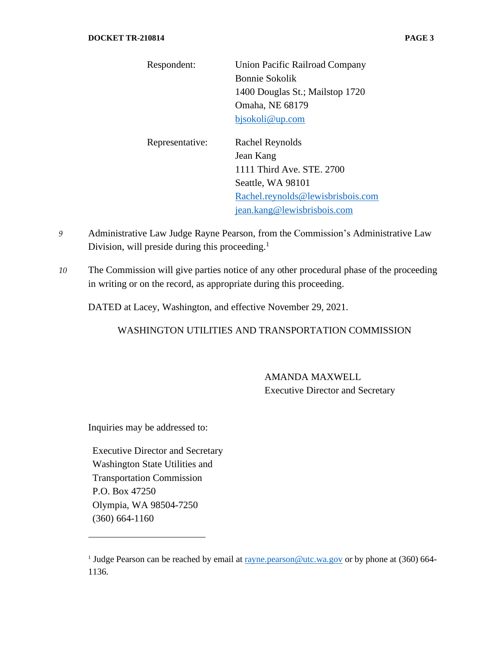| Respondent:     | Union Pacific Railroad Company    |
|-----------------|-----------------------------------|
|                 |                                   |
|                 | <b>Bonnie Sokolik</b>             |
|                 | 1400 Douglas St.; Mailstop 1720   |
|                 | Omaha, NE 68179                   |
|                 | bjsokoli@up.com                   |
|                 |                                   |
| Representative: | Rachel Reynolds                   |
|                 | Jean Kang                         |
|                 | 1111 Third Ave. STE. 2700         |
|                 | Seattle, WA 98101                 |
|                 | Rachel.reynolds@lewisbrisbois.com |
|                 | jean.kang@lewisbrisbois.com       |

- *9* Administrative Law Judge Rayne Pearson, from the Commission's Administrative Law Division, will preside during this proceeding. $<sup>1</sup>$ </sup>
- *10* The Commission will give parties notice of any other procedural phase of the proceeding in writing or on the record, as appropriate during this proceeding.

DATED at Lacey, Washington, and effective November 29, 2021.

WASHINGTON UTILITIES AND TRANSPORTATION COMMISSION

AMANDA MAXWELL Executive Director and Secretary

Inquiries may be addressed to:

Executive Director and Secretary Washington State Utilities and Transportation Commission P.O. Box 47250 Olympia, WA 98504-7250 (360) 664-1160

<sup>&</sup>lt;sup>1</sup> Judge Pearson can be reached by email a[t rayne.pearson@utc.wa.gov](mailto:rayne.pearson@utc.wa.gov) or by phone at (360) 664-1136.